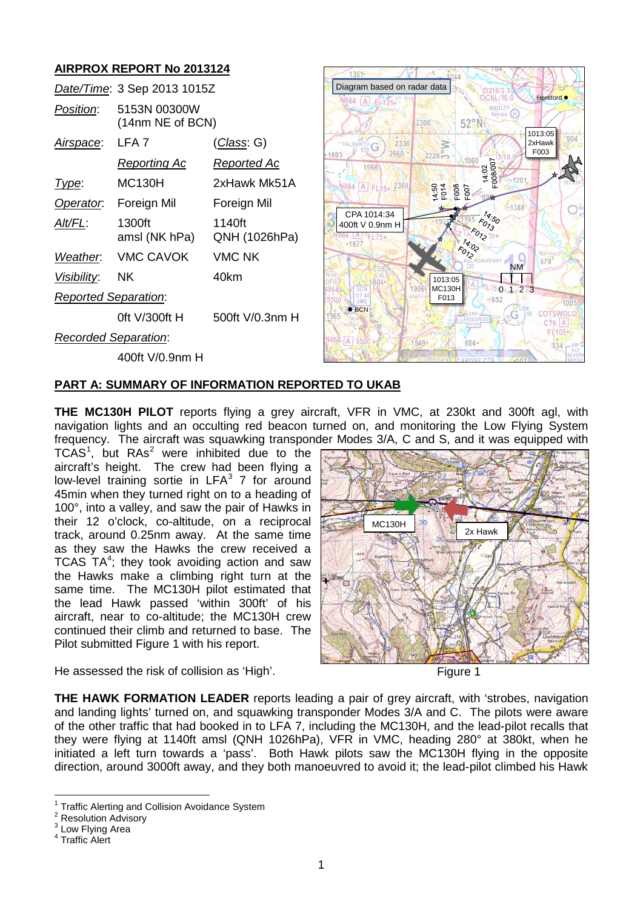# **AIRPROX REPORT No 2013124**

|                             | Date/Time: 3 Sep 2013 1015Z      |                         |
|-----------------------------|----------------------------------|-------------------------|
| Position:                   | 5153N 00300W<br>(14nm NE of BCN) |                         |
| <u>Airspace:</u>            | LFA 7                            | <u>(Class</u> : G)      |
|                             | <u>Reporting Ac</u>              | <u>Reported Ac</u>      |
| lype:                       | MC130H                           | 2xHawk Mk51A            |
| Operator.                   | Foreign Mil                      | Foreign Mil             |
| Alt/FL:                     | 1300ft<br>amsl (NK hPa)          | 1140ft<br>QNH (1026hPa) |
|                             | Weather. VMC CAVOK               | <b>VMC NK</b>           |
| Visibility:                 | NK.                              | 40km                    |
| <b>Reported Separation:</b> |                                  |                         |
|                             | 0ft V/300ft H                    | 500ft V/0.3nm H         |
| <b>Recorded Separation:</b> |                                  |                         |
|                             | 400ft V/0.9nm H                  |                         |



## **PART A: SUMMARY OF INFORMATION REPORTED TO UKAB**

**THE MC130H PILOT** reports flying a grey aircraft, VFR in VMC, at 230kt and 300ft agl, with navigation lights and an occulting red beacon turned on, and monitoring the Low Flying System frequency. The aircraft was squawking transponder Modes 3/A, C and S, and it was equipped with

TCAS<sup>[1](#page-0-0)</sup>, but  $RAs<sup>2</sup>$  $RAs<sup>2</sup>$  $RAs<sup>2</sup>$  were inhibited due to the aircraft's height. The crew had been flying a low-level training sortie in  $LFA<sup>3</sup>$  $LFA<sup>3</sup>$  $LFA<sup>3</sup>$  7 for around 45min when they turned right on to a heading of 100°, into a valley, and saw the pair of Hawks in their 12 o'clock, co-altitude, on a reciprocal track, around 0.25nm away. At the same time as they saw the Hawks the crew received a TCAS  $TA^4$  $TA^4$ ; they took avoiding action and saw the Hawks make a climbing right turn at the same time. The MC130H pilot estimated that the lead Hawk passed 'within 300ft' of his aircraft, near to co-altitude; the MC130H crew continued their climb and returned to base. The Pilot submitted Figure 1 with his report.



He assessed the risk of collision as 'High'.

Figure 1

**THE HAWK FORMATION LEADER** reports leading a pair of grey aircraft, with 'strobes, navigation and landing lights' turned on, and squawking transponder Modes 3/A and C. The pilots were aware of the other traffic that had booked in to LFA 7, including the MC130H, and the lead-pilot recalls that they were flying at 1140ft amsl (QNH 1026hPa), VFR in VMC, heading 280° at 380kt, when he initiated a left turn towards a 'pass'. Both Hawk pilots saw the MC130H flying in the opposite direction, around 3000ft away, and they both manoeuvred to avoid it; the lead-pilot climbed his Hawk

Traffic Alerting and Collision Avoidance System

<span id="page-0-2"></span><span id="page-0-1"></span><span id="page-0-0"></span><sup>&</sup>lt;sup>2</sup> Resolution Advisory<br><sup>3</sup> Low Flying Area<br><sup>4</sup> Traffic Alert

<span id="page-0-3"></span>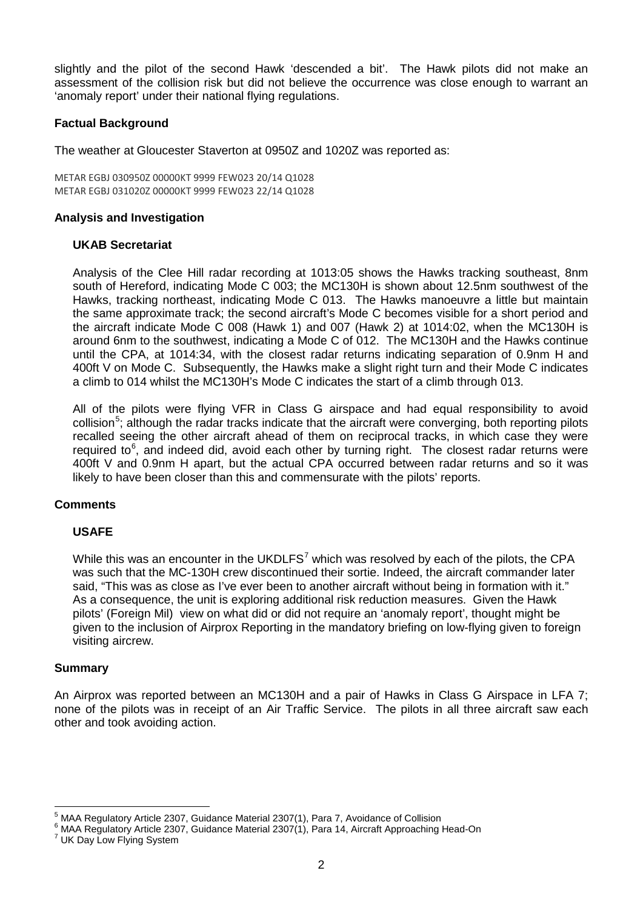slightly and the pilot of the second Hawk 'descended a bit'. The Hawk pilots did not make an assessment of the collision risk but did not believe the occurrence was close enough to warrant an 'anomaly report' under their national flying regulations.

## **Factual Background**

The weather at Gloucester Staverton at 0950Z and 1020Z was reported as:

METAR EGBJ 030950Z 00000KT 9999 FEW023 20/14 Q1028 METAR EGBJ 031020Z 00000KT 9999 FEW023 22/14 Q1028

#### **Analysis and Investigation**

#### **UKAB Secretariat**

Analysis of the Clee Hill radar recording at 1013:05 shows the Hawks tracking southeast, 8nm south of Hereford, indicating Mode C 003; the MC130H is shown about 12.5nm southwest of the Hawks, tracking northeast, indicating Mode C 013. The Hawks manoeuvre a little but maintain the same approximate track; the second aircraft's Mode C becomes visible for a short period and the aircraft indicate Mode C 008 (Hawk 1) and 007 (Hawk 2) at 1014:02, when the MC130H is around 6nm to the southwest, indicating a Mode C of 012. The MC130H and the Hawks continue until the CPA, at 1014:34, with the closest radar returns indicating separation of 0.9nm H and 400ft V on Mode C. Subsequently, the Hawks make a slight right turn and their Mode C indicates a climb to 014 whilst the MC130H's Mode C indicates the start of a climb through 013.

All of the pilots were flying VFR in Class G airspace and had equal responsibility to avoid collision<sup>[5](#page-1-0)</sup>; although the radar tracks indicate that the aircraft were converging, both reporting pilots recalled seeing the other aircraft ahead of them on reciprocal tracks, in which case they were required to<sup>[6](#page-1-1)</sup>, and indeed did, avoid each other by turning right. The closest radar returns were 400ft V and 0.9nm H apart, but the actual CPA occurred between radar returns and so it was likely to have been closer than this and commensurate with the pilots' reports.

### **Comments**

### **USAFE**

While this was an encounter in the UKDLFS<sup>[7](#page-1-2)</sup> which was resolved by each of the pilots, the CPA was such that the MC-130H crew discontinued their sortie. Indeed, the aircraft commander later said, "This was as close as I've ever been to another aircraft without being in formation with it." As a consequence, the unit is exploring additional risk reduction measures. Given the Hawk pilots' (Foreign Mil) view on what did or did not require an 'anomaly report', thought might be given to the inclusion of Airprox Reporting in the mandatory briefing on low-flying given to foreign visiting aircrew.

#### **Summary**

An Airprox was reported between an MC130H and a pair of Hawks in Class G Airspace in LFA 7; none of the pilots was in receipt of an Air Traffic Service. The pilots in all three aircraft saw each other and took avoiding action.

<span id="page-1-1"></span><span id="page-1-0"></span>

<sup>&</sup>lt;sup>5</sup> MAA Regulatory Article 2307, Guidance Material 2307(1), Para 7, Avoidance of Collision 6 MAA Regulatory Article 2307, Guidance Material 2307(1), Para 14, Aircraft Approaching Head-On <sup>7</sup> UK Day Low Flying System

<span id="page-1-2"></span>